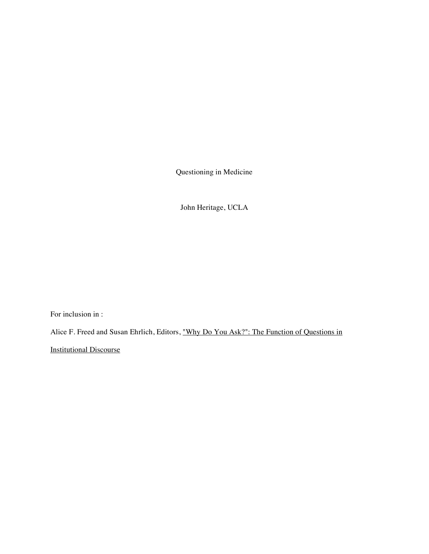Questioning in Medicine

John Heritage, UCLA

For inclusion in :

Alice F. Freed and Susan Ehrlich, Editors, "Why Do You Ask?": The Function of Questions in

**Institutional Discourse**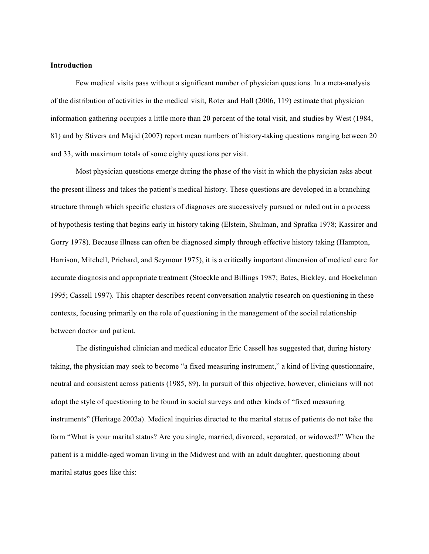# **Introduction**

Few medical visits pass without a significant number of physician questions. In a meta-analysis of the distribution of activities in the medical visit, Roter and Hall (2006, 119) estimate that physician information gathering occupies a little more than 20 percent of the total visit, and studies by West (1984, 81) and by Stivers and Majid (2007) report mean numbers of history-taking questions ranging between 20 and 33, with maximum totals of some eighty questions per visit.

Most physician questions emerge during the phase of the visit in which the physician asks about the present illness and takes the patient's medical history. These questions are developed in a branching structure through which specific clusters of diagnoses are successively pursued or ruled out in a process of hypothesis testing that begins early in history taking (Elstein, Shulman, and Sprafka 1978; Kassirer and Gorry 1978). Because illness can often be diagnosed simply through effective history taking (Hampton, Harrison, Mitchell, Prichard, and Seymour 1975), it is a critically important dimension of medical care for accurate diagnosis and appropriate treatment (Stoeckle and Billings 1987; Bates, Bickley, and Hoekelman 1995; Cassell 1997). This chapter describes recent conversation analytic research on questioning in these contexts, focusing primarily on the role of questioning in the management of the social relationship between doctor and patient.

The distinguished clinician and medical educator Eric Cassell has suggested that, during history taking, the physician may seek to become "a fixed measuring instrument," a kind of living questionnaire, neutral and consistent across patients (1985, 89). In pursuit of this objective, however, clinicians will not adopt the style of questioning to be found in social surveys and other kinds of "fixed measuring instruments" (Heritage 2002a). Medical inquiries directed to the marital status of patients do not take the form "What is your marital status? Are you single, married, divorced, separated, or widowed?" When the patient is a middle-aged woman living in the Midwest and with an adult daughter, questioning about marital status goes like this: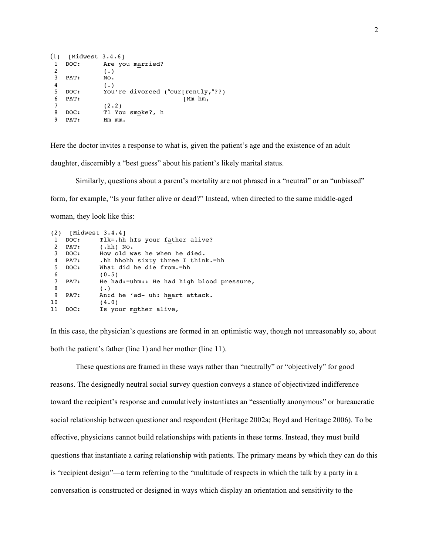| (1) | [Midwest $3.4.6$ ] |                                   |
|-----|--------------------|-----------------------------------|
|     | DOC:               | Are you married?                  |
| 2   |                    | $(\cdot)$                         |
| 3   | PAT:               | No.                               |
| 4   |                    | $(\cdot)$                         |
| 5   | DOC:               | You're divorced ("cur[rently,"??) |
| 6   | PAT:               | [Mm hm,                           |
|     |                    | (2.2)                             |
| 8   | DOC:               | Tl You smoke?, h                  |
| 9   | PAT:               | $Hm$ $mm$ .                       |
|     |                    |                                   |

Here the doctor invites a response to what is, given the patient's age and the existence of an adult daughter, discernibly a "best guess" about his patient's likely marital status.

Similarly, questions about a parent's mortality are not phrased in a "neutral" or an "unbiased" form, for example, "Is your father alive or dead?" Instead, when directed to the same middle-aged woman, they look like this:

```
(2) [Midwest 3.4.4]
 1 DOC: Tlk=.hh hIs your father alive?<br>2 PAT: (.hh) No.
 2 PAT: (.hh) No.<br>3 DOC: How old w
             How old was he when he died.
  4 PAT: .hh hhohh sixty three I think.=hh
  5 DOC: What did he die from.=hh
  6 (0.5)
7 PAT: He had:=uhm:: He had high blood pressure,<br>8 (a)
8 (.)<br>9 PAT: An:
             An:d he 'ad- uh: heart attack.
10 (4.0)
11 DOC: Is your mother alive,
```
In this case, the physician's questions are formed in an optimistic way, though not unreasonably so, about both the patient's father (line 1) and her mother (line 11).

These questions are framed in these ways rather than "neutrally" or "objectively" for good reasons. The designedly neutral social survey question conveys a stance of objectivized indifference toward the recipient's response and cumulatively instantiates an "essentially anonymous" or bureaucratic social relationship between questioner and respondent (Heritage 2002a; Boyd and Heritage 2006). To be effective, physicians cannot build relationships with patients in these terms. Instead, they must build questions that instantiate a caring relationship with patients. The primary means by which they can do this is "recipient design"—a term referring to the "multitude of respects in which the talk by a party in a conversation is constructed or designed in ways which display an orientation and sensitivity to the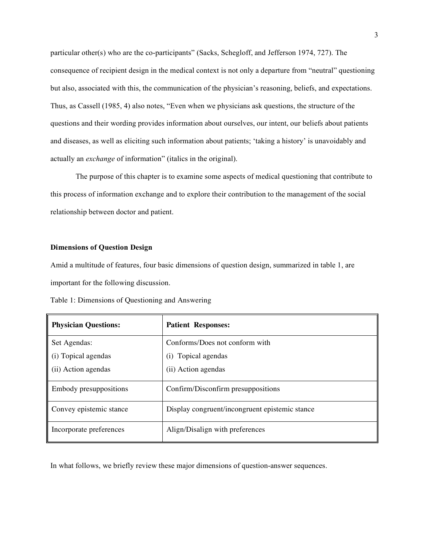particular other(s) who are the co-participants" (Sacks, Schegloff, and Jefferson 1974, 727). The consequence of recipient design in the medical context is not only a departure from "neutral" questioning but also, associated with this, the communication of the physician's reasoning, beliefs, and expectations. Thus, as Cassell (1985, 4) also notes, "Even when we physicians ask questions, the structure of the questions and their wording provides information about ourselves, our intent, our beliefs about patients and diseases, as well as eliciting such information about patients; 'taking a history' is unavoidably and actually an *exchange* of information" (italics in the original).

The purpose of this chapter is to examine some aspects of medical questioning that contribute to this process of information exchange and to explore their contribution to the management of the social relationship between doctor and patient.

#### **Dimensions of Question Design**

Amid a multitude of features, four basic dimensions of question design, summarized in table 1, are important for the following discussion.

| <b>Physician Questions:</b> | <b>Patient Responses:</b>                      |
|-----------------------------|------------------------------------------------|
| Set Agendas:                | Conforms/Does not conform with                 |
| (i) Topical agendas         | (i) Topical agendas                            |
| (ii) Action agendas         | (ii) Action agendas                            |
| Embody presuppositions      | Confirm/Disconfirm presuppositions             |
| Convey epistemic stance     | Display congruent/incongruent epistemic stance |
| Incorporate preferences     | Align/Disalign with preferences                |

Table 1: Dimensions of Questioning and Answering

In what follows, we briefly review these major dimensions of question-answer sequences.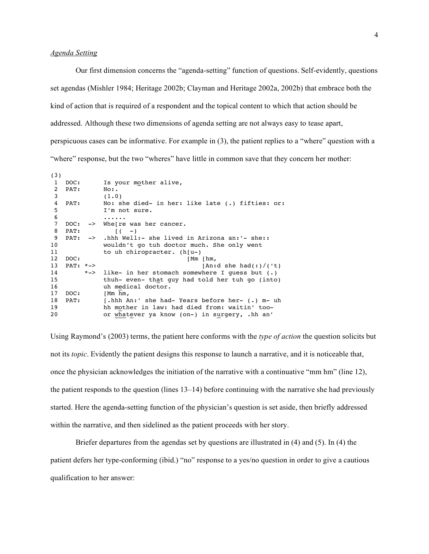### *Agenda Setting*

Our first dimension concerns the "agenda-setting" function of questions. Self-evidently, questions set agendas (Mishler 1984; Heritage 2002b; Clayman and Heritage 2002a, 2002b) that embrace both the kind of action that is required of a respondent and the topical content to which that action should be addressed. Although these two dimensions of agenda setting are not always easy to tease apart, perspicuous cases can be informative. For example in (3), the patient replies to a "where" question with a "where" response, but the two "wheres" have little in common save that they concern her mother:

| (3) |            |                                                                 |
|-----|------------|-----------------------------------------------------------------|
| 1   | DOC:       | Is your mother alive,                                           |
| 2   | PAT:       | $No:$ .                                                         |
| 3   |            | (1.0)                                                           |
| 4   | PAT:       | No: she died- in her: like late (.) fifties: or:                |
| 5   |            | I'm not sure.                                                   |
| 6   |            | .                                                               |
| 7   | DOC:       | -> Whe [re was her cancer.                                      |
| 8   | PAT:       | $\lceil$ ( $-$ )                                                |
| 9   |            | PAT: $\rightarrow$ .hhh Well:- she lived in Arizona an:'- she:: |
| 10  |            | wouldn't go tuh doctor much. She only went                      |
| 11  |            | to uh chiropracter. $(h[u-])$                                   |
| 12  | DOC:       | $\lceil Mm \rceil \text{hm}$ ,                                  |
| 13  | $PAT: *->$ | [An:d she had(:)/('t)                                           |
| 14  |            | *-> like- in her stomach somewhere I quess but (.)              |
| 15  |            | thuh- even- that quy had told her tuh qo (into)                 |
| 16  |            | uh medical doctor.                                              |
| 17  | DOC:       | $\lceil Mm \rceil$ hm,                                          |
| 18  | PAT:       | [.hhh An:' she had- Years before her- $( \cdot )$ m- uh         |
| 19  |            | hh mother in law: had died from: waitin' too-                   |
| 20  |            | or whatever ya know (on-) in surgery, .hh an'                   |
|     |            |                                                                 |

Using Raymond's (2003) terms, the patient here conforms with the *type of action* the question solicits but not its *topic*. Evidently the patient designs this response to launch a narrative, and it is noticeable that, once the physician acknowledges the initiation of the narrative with a continuative "mm hm" (line 12), the patient responds to the question (lines 13–14) before continuing with the narrative she had previously started. Here the agenda-setting function of the physician's question is set aside, then briefly addressed within the narrative, and then sidelined as the patient proceeds with her story.

Briefer departures from the agendas set by questions are illustrated in (4) and (5). In (4) the patient defers her type-conforming (ibid.) "no" response to a yes/no question in order to give a cautious qualification to her answer: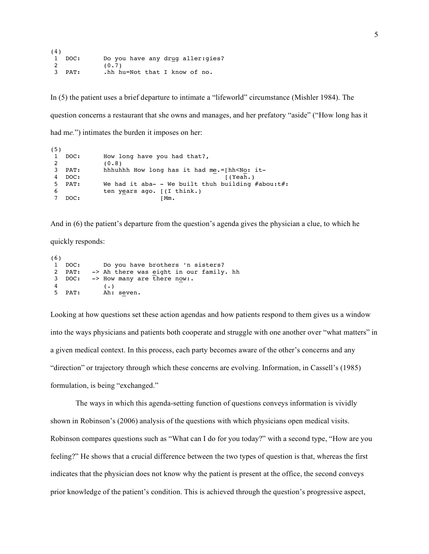```
\begin{matrix} (4) \\ 1 \end{matrix} DOC:
                    Do you have any drug aller:gies?
 2 (0.7)<br>3 PAT: .hh hi
                    .hh hu=Not that I know of no.
```
In (5) the patient uses a brief departure to intimate a "lifeworld" circumstance (Mishler 1984). The question concerns a restaurant that she owns and manages, and her prefatory "aside" ("How long has it had m*e.*") intimates the burden it imposes on her:

 $\begin{pmatrix} 5 \\ 1 \end{pmatrix}$  DOC:  $\frac{1}{2}$  DOC: How long have you had that?,  $(0.8)$ 3 PAT: hhhuhhh How long has it had  $me. = [hh < N_0: 1 + 4$  DOC:  $[(Yeah.)$ 4 DOC:  $\overline{Q}$  [(Yeah.)<br>5 PAT: We had it aba- - We built thuh building We had it aba- - We built thuh building  $#$ abou:t $#$ : 6 ten years ago. [(I think.) 7 DOC: [Mm.

And in (6) the patient's departure from the question's agenda gives the physician a clue, to which he

quickly responds:

 $(6)$ <br>1 DOC: 1 DOC: Do you have brothers 'n sisters?<br>2 PAT: -> Ah there was eight in our family -> Ah there was eight in our family. hh 3 DOC: -> How many are there now:.  $\begin{array}{cc} 4 & & (\texttt{.}) \\ 5 & \texttt{PATH:} & \texttt{Ah:} \end{array}$ Ah: seven.

Looking at how questions set these action agendas and how patients respond to them gives us a window into the ways physicians and patients both cooperate and struggle with one another over "what matters" in a given medical context. In this process, each party becomes aware of the other's concerns and any "direction" or trajectory through which these concerns are evolving. Information, in Cassell's (1985) formulation, is being "exchanged."

The ways in which this agenda-setting function of questions conveys information is vividly shown in Robinson's (2006) analysis of the questions with which physicians open medical visits. Robinson compares questions such as "What can I do for you today?" with a second type, "How are you feeling?" He shows that a crucial difference between the two types of question is that, whereas the first indicates that the physician does not know why the patient is present at the office, the second conveys prior knowledge of the patient's condition. This is achieved through the question's progressive aspect,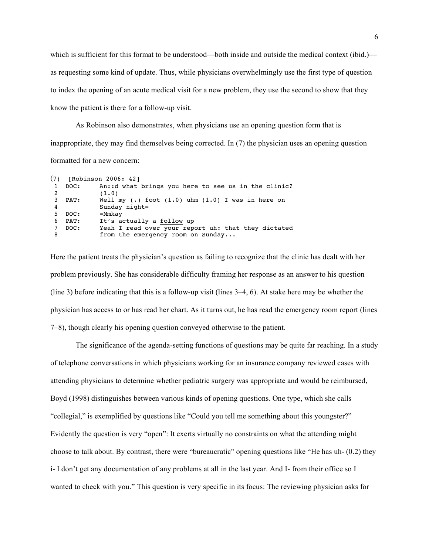which is sufficient for this format to be understood—both inside and outside the medical context (ibid.) as requesting some kind of update. Thus, while physicians overwhelmingly use the first type of question to index the opening of an acute medical visit for a new problem, they use the second to show that they know the patient is there for a follow-up visit.

As Robinson also demonstrates, when physicians use an opening question form that is inappropriate, they may find themselves being corrected. In (7) the physician uses an opening question formatted for a new concern:

```
(7) [Robinson 2006: 42]
 1 DOC: An::d what brings you here to see us in the clinic?
 2 (1.0)<br>3 PAT: Well D
              Well my (.) foot (1.0) uhm (1.0) I was in here on
  4 Sunday night=
 5 DOC: = Mmkay<br>6 PAT: It's a
 6 PAT: It's actually a <u>follow</u> up<br>7 DOC: Yeah I read over your rep
              Yeah I read over your report uh: that they dictated
 8 from the emergency room on Sunday...
```
Here the patient treats the physician's question as failing to recognize that the clinic has dealt with her problem previously. She has considerable difficulty framing her response as an answer to his question (line 3) before indicating that this is a follow-up visit (lines 3–4, 6). At stake here may be whether the physician has access to or has read her chart. As it turns out, he has read the emergency room report (lines 7–8), though clearly his opening question conveyed otherwise to the patient.

The significance of the agenda-setting functions of questions may be quite far reaching. In a study of telephone conversations in which physicians working for an insurance company reviewed cases with attending physicians to determine whether pediatric surgery was appropriate and would be reimbursed, Boyd (1998) distinguishes between various kinds of opening questions. One type, which she calls "collegial," is exemplified by questions like "Could you tell me something about this youngster?" Evidently the question is very "open": It exerts virtually no constraints on what the attending might choose to talk about. By contrast, there were "bureaucratic" opening questions like "He has uh- (0.2) they i- I don't get any documentation of any problems at all in the last year. And I- from their office so I wanted to check with you." This question is very specific in its focus: The reviewing physician asks for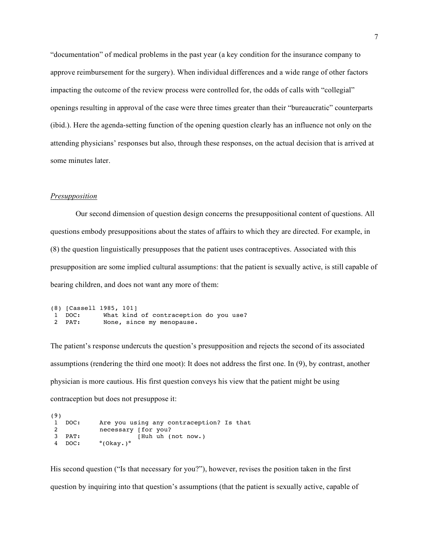"documentation" of medical problems in the past year (a key condition for the insurance company to approve reimbursement for the surgery). When individual differences and a wide range of other factors impacting the outcome of the review process were controlled for, the odds of calls with "collegial" openings resulting in approval of the case were three times greater than their "bureaucratic" counterparts (ibid.). Here the agenda-setting function of the opening question clearly has an influence not only on the attending physicians' responses but also, through these responses, on the actual decision that is arrived at some minutes later.

# *Presupposition*

Our second dimension of question design concerns the presuppositional content of questions. All questions embody presuppositions about the states of affairs to which they are directed. For example, in (8) the question linguistically presupposes that the patient uses contraceptives. Associated with this presupposition are some implied cultural assumptions: that the patient is sexually active, is still capable of bearing children, and does not want any more of them:

```
(8) [Cassell 1985, 101]
 1 DOC: What kind of contraception do you use?<br>2 PAT: None, since my menopause.
                 None, since my menopause.
```
The patient's response undercuts the question's presupposition and rejects the second of its associated assumptions (rendering the third one moot): It does not address the first one. In (9), by contrast, another physician is more cautious. His first question conveys his view that the patient might be using contraception but does not presuppose it:

```
(9)<br>1 DOC:
           Are you using any contraception? Is that
 2 necessary [for you?
 3 PAT: [Huh uh (not now.)
 4 DOC: °(Okay.)°
```
His second question ("Is that necessary for you?"), however, revises the position taken in the first question by inquiring into that question's assumptions (that the patient is sexually active, capable of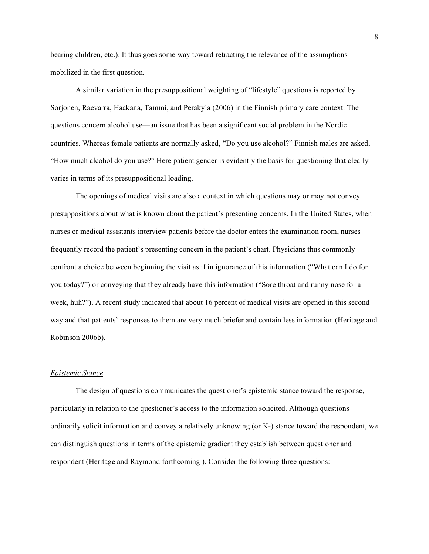bearing children, etc.). It thus goes some way toward retracting the relevance of the assumptions mobilized in the first question.

A similar variation in the presuppositional weighting of "lifestyle" questions is reported by Sorjonen, Raevarra, Haakana, Tammi, and Perakyla (2006) in the Finnish primary care context. The questions concern alcohol use—an issue that has been a significant social problem in the Nordic countries. Whereas female patients are normally asked, "Do you use alcohol?" Finnish males are asked, "How much alcohol do you use?" Here patient gender is evidently the basis for questioning that clearly varies in terms of its presuppositional loading.

The openings of medical visits are also a context in which questions may or may not convey presuppositions about what is known about the patient's presenting concerns. In the United States, when nurses or medical assistants interview patients before the doctor enters the examination room, nurses frequently record the patient's presenting concern in the patient's chart. Physicians thus commonly confront a choice between beginning the visit as if in ignorance of this information ("What can I do for you today?") or conveying that they already have this information ("Sore throat and runny nose for a week, huh?"). A recent study indicated that about 16 percent of medical visits are opened in this second way and that patients' responses to them are very much briefer and contain less information (Heritage and Robinson 2006b).

## *Epistemic Stance*

The design of questions communicates the questioner's epistemic stance toward the response, particularly in relation to the questioner's access to the information solicited. Although questions ordinarily solicit information and convey a relatively unknowing (or K-) stance toward the respondent, we can distinguish questions in terms of the epistemic gradient they establish between questioner and respondent (Heritage and Raymond forthcoming ). Consider the following three questions: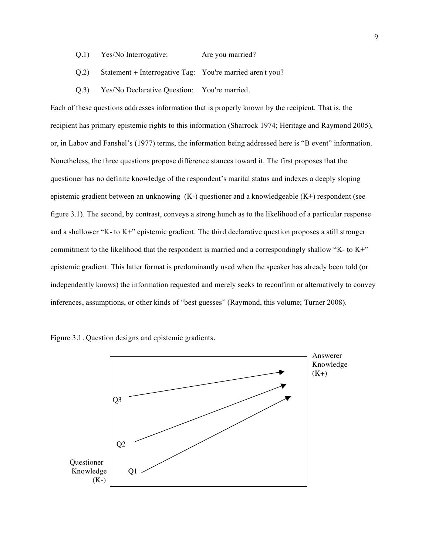- Q.1) Yes/No Interrogative: Are you married?
- Q.2) Statement + Interrogative Tag: You're married aren't you?
- Q.3) Yes/No Declarative Question: You're married.

Each of these questions addresses information that is properly known by the recipient. That is, the recipient has primary epistemic rights to this information (Sharrock 1974; Heritage and Raymond 2005), or, in Labov and Fanshel's (1977) terms, the information being addressed here is "B event" information. Nonetheless, the three questions propose difference stances toward it. The first proposes that the questioner has no definite knowledge of the respondent's marital status and indexes a deeply sloping epistemic gradient between an unknowing (K-) questioner and a knowledgeable (K+) respondent (see figure 3.1). The second, by contrast, conveys a strong hunch as to the likelihood of a particular response and a shallower "K- to K+" epistemic gradient. The third declarative question proposes a still stronger commitment to the likelihood that the respondent is married and a correspondingly shallow "K- to K+" epistemic gradient. This latter format is predominantly used when the speaker has already been told (or independently knows) the information requested and merely seeks to reconfirm or alternatively to convey inferences, assumptions, or other kinds of "best guesses" (Raymond, this volume; Turner 2008).



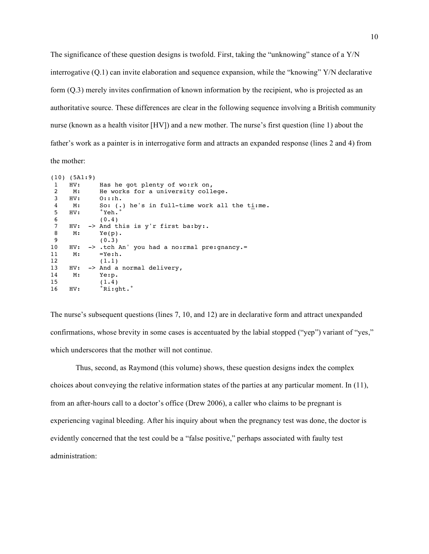The significance of these question designs is twofold. First, taking the "unknowing" stance of a Y/N interrogative (Q.1) can invite elaboration and sequence expansion, while the "knowing" Y/N declarative form (Q.3) merely invites confirmation of known information by the recipient, who is projected as an authoritative source. These differences are clear in the following sequence involving a British community nurse (known as a health visitor [HV]) and a new mother. The nurse's first question (line 1) about the father's work as a painter is in interrogative form and attracts an expanded response (lines 2 and 4) from

the mother:

```
(10) (5A1:9)
 1 HV: Has he got plenty of wo:rk on,
  2 M: He works for a university college.
 3 HV: O:::h.
 4 M: So: (.) he's in full-time work all the t_i:me.<br>5 HV: \degreeYeh.
            ^{\circ} Yeh.
  6 (0.4)
 7 HV: - > And this is y'r first ba:by:.
8 M: Ye(p).<br>9 (0.3)
            (0.3)10 HV: -> .tch An' you had a no:rmal pre:gnancy.=
11 M: =Ye:h.
12 (1.1)
13 HV: -> And a normal delivery,
14 M: Ye:p.
15 (1.4)<br>16 HV: {}^{6} Ri:a
16 HV: ˚Ri:ght.˚
```
The nurse's subsequent questions (lines 7, 10, and 12) are in declarative form and attract unexpanded confirmations, whose brevity in some cases is accentuated by the labial stopped ("yep") variant of "yes," which underscores that the mother will not continue.

Thus, second, as Raymond (this volume) shows, these question designs index the complex choices about conveying the relative information states of the parties at any particular moment. In (11), from an after-hours call to a doctor's office (Drew 2006), a caller who claims to be pregnant is experiencing vaginal bleeding. After his inquiry about when the pregnancy test was done, the doctor is evidently concerned that the test could be a "false positive," perhaps associated with faulty test administration: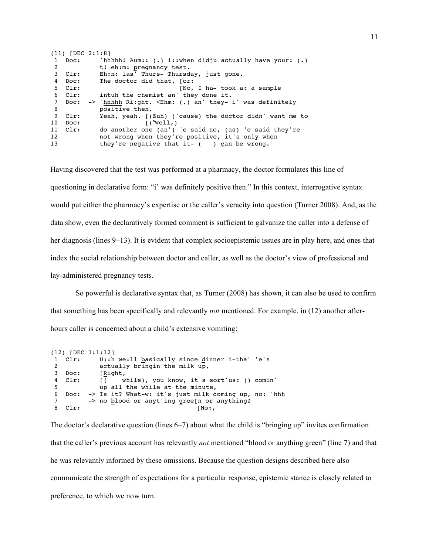|    |            | $(11)$ [DEC 2:1:8]                                                                      |
|----|------------|-----------------------------------------------------------------------------------------|
|    | 1 Doc:     | $^{\cdot}$ hhhhh! Aum:: (.) i::when didju actually have your: (.)                       |
| 2  |            | t! eh:m: pregnancy test.                                                                |
|    | 3 Clr:     | Eh:n: las' Thurs- Thursday, just gone.                                                  |
|    | 4 Doc:     | The doctor did that, [or:                                                               |
|    | $5$ $Clr:$ | [No, I ha- took a: a sample                                                             |
|    | 6 Clr:     | intuh the chemist an' they done it.                                                     |
|    | 7 Doc:     | -> hhhhh Ri:ght. <ehm: (.)="" an'="" definitely<="" i'="" td="" they-="" was=""></ehm:> |
| 8  |            | positive then.                                                                          |
| 9  | Clr:       | Yeah, yeah. [(Zuh) ('cause) the doctor didn' want me to                                 |
| 10 | Doc:       | (°Well.)                                                                                |
|    | 11 Clr:    | do another one (an') 'e said no, (as) 'e said they're                                   |
| 12 |            | not wrong when they're positive, it's only when                                         |
| 13 |            | they're negative that it- $($ ) can be wrong.                                           |

Having discovered that the test was performed at a pharmacy, the doctor formulates this line of questioning in declarative form: "i' was definitely positive then." In this context, interrogative syntax would put either the pharmacy's expertise or the caller's veracity into question (Turner 2008). And, as the data show, even the declaratively formed comment is sufficient to galvanize the caller into a defense of her diagnosis (lines 9–13). It is evident that complex socioepistemic issues are in play here, and ones that index the social relationship between doctor and caller, as well as the doctor's view of professional and lay-administered pregnancy tests.

So powerful is declarative syntax that, as Turner (2008) has shown, it can also be used to confirm that something has been specifically and relevantly *not* mentioned. For example, in (12) another afterhours caller is concerned about a child's extensive vomiting:

```
(12) [DEC 1:1:12]
 1 Clr: U::h we:ll basically since dinner i-tha' 'e's 
2 actually bringin'the milk up,
3 Doc: [\text{Right},<br>4 Clr: [ ( w
           \frac{1}{4} ( while), you know, it's sort'us: () comin'
 5 up all the while at the minute,
 6 Doc: -> Is it? What-w: it's just milk coming up, no: ˙hhh 
7 -> no blood or anyt'ing gree[n or anything¿
8 Clr: [No:,
```
The doctor's declarative question (lines 6–7) about what the child is "bringing up" invites confirmation that the caller's previous account has relevantly *not* mentioned "blood or anything green" (line 7) and that he was relevantly informed by these omissions. Because the question designs described here also communicate the strength of expectations for a particular response, epistemic stance is closely related to preference, to which we now turn.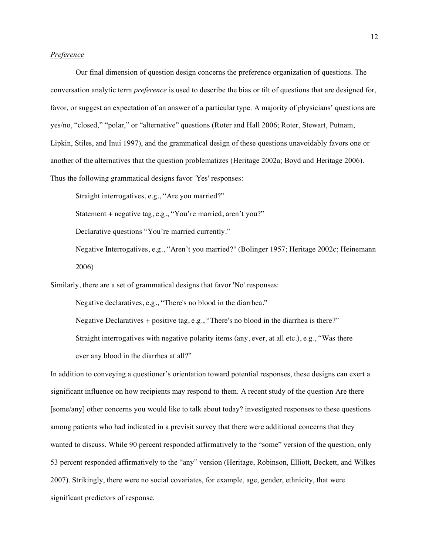#### *Preference*

Our final dimension of question design concerns the preference organization of questions. The conversation analytic term *preference* is used to describe the bias or tilt of questions that are designed for, favor, or suggest an expectation of an answer of a particular type. A majority of physicians' questions are yes/no, "closed," "polar," or "alternative" questions (Roter and Hall 2006; Roter, Stewart, Putnam, Lipkin, Stiles, and Inui 1997), and the grammatical design of these questions unavoidably favors one or another of the alternatives that the question problematizes (Heritage 2002a; Boyd and Heritage 2006). Thus the following grammatical designs favor 'Yes' responses:

Straight interrogatives, e.g., "Are you married?" Statement + negative tag, e.g., "You're married, aren't you?"

Declarative questions "You're married currently."

Negative Interrogatives, e.g., "Aren't you married?" (Bolinger 1957; Heritage 2002c; Heinemann 2006)

Similarly, there are a set of grammatical designs that favor 'No' responses:

Negative declaratives, e.g., "There's no blood in the diarrhea."

Negative Declaratives + positive tag, e.g., "There's no blood in the diarrhea is there?"

Straight interrogatives with negative polarity items (any, ever, at all etc.), e.g., "Was there

ever any blood in the diarrhea at all?"

In addition to conveying a questioner's orientation toward potential responses, these designs can exert a significant influence on how recipients may respond to them. A recent study of the question Are there [some/any] other concerns you would like to talk about today? investigated responses to these questions among patients who had indicated in a previsit survey that there were additional concerns that they wanted to discuss. While 90 percent responded affirmatively to the "some" version of the question, only 53 percent responded affirmatively to the "any" version (Heritage, Robinson, Elliott, Beckett, and Wilkes 2007). Strikingly, there were no social covariates, for example, age, gender, ethnicity, that were significant predictors of response.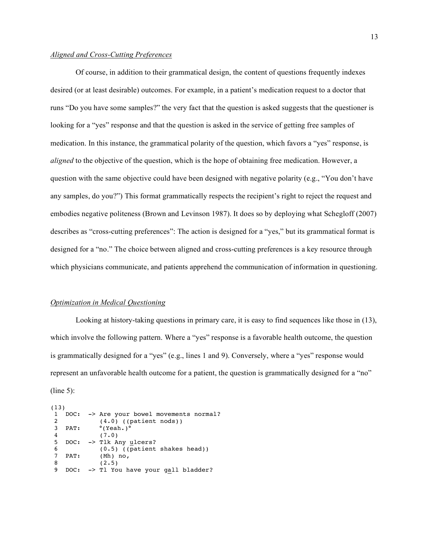Of course, in addition to their grammatical design, the content of questions frequently indexes desired (or at least desirable) outcomes. For example, in a patient's medication request to a doctor that runs "Do you have some samples?" the very fact that the question is asked suggests that the questioner is looking for a "yes" response and that the question is asked in the service of getting free samples of medication. In this instance, the grammatical polarity of the question, which favors a "yes" response, is *aligned* to the objective of the question, which is the hope of obtaining free medication. However, a question with the same objective could have been designed with negative polarity (e.g., "You don't have any samples, do you?") This format grammatically respects the recipient's right to reject the request and embodies negative politeness (Brown and Levinson 1987). It does so by deploying what Schegloff (2007) describes as "cross-cutting preferences": The action is designed for a "yes," but its grammatical format is designed for a "no." The choice between aligned and cross-cutting preferences is a key resource through which physicians communicate, and patients apprehend the communication of information in questioning.

## *Optimization in Medical Questioning*

Looking at history-taking questions in primary care, it is easy to find sequences like those in (13), which involve the following pattern. Where a "yes" response is a favorable health outcome, the question is grammatically designed for a "yes" (e.g., lines 1 and 9). Conversely, where a "yes" response would represent an unfavorable health outcome for a patient, the question is grammatically designed for a "no"  $(line 5)$ :

```
(13)<br>1 DOC:
       -> Are your bowel movements normal?
 2 (4.0) ((patient nods))
 3 PAT: °(Yeah.)°
 4 (7.0)
5 DOC: \rightarrow Tlk Any ulcers?
6 (0.5) ((patient shakes head))
 7 PAT: (Mh) no,
 8 (2.5)
9 DOC: - > Tl You have your gall bladder?
```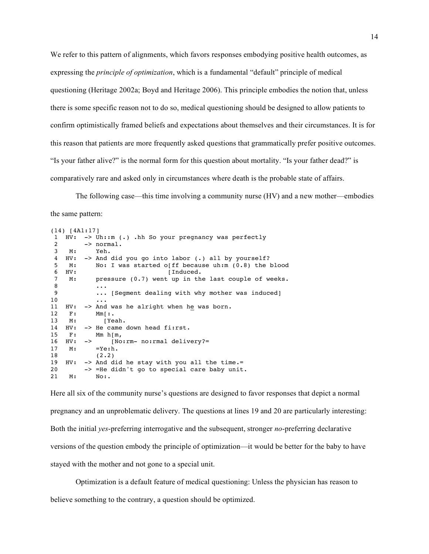We refer to this pattern of alignments, which favors responses embodying positive health outcomes, as expressing the *principle of optimization*, which is a fundamental "default" principle of medical questioning (Heritage 2002a; Boyd and Heritage 2006). This principle embodies the notion that, unless there is some specific reason not to do so, medical questioning should be designed to allow patients to confirm optimistically framed beliefs and expectations about themselves and their circumstances. It is for this reason that patients are more frequently asked questions that grammatically prefer positive outcomes. "Is your father alive?" is the normal form for this question about mortality. "Is your father dead?" is comparatively rare and asked only in circumstances where death is the probable state of affairs.

The following case—this time involving a community nurse (HV) and a new mother—embodies the same pattern:

```
(14) [4A1:17]
 1 HV: -> Uh::m (.) .hh So your pregnancy was perfectly 
2 \rightarrow normal. 3 M: Yeh.
 4 HV: -> And did you go into labor (.) all by yourself?
 5 M: No: I was started o[ff because uh:m (0.8) the blood<br>6 HV: [Induced.
                            [Induced.
 7 M: pressure (0.7) went up in the last couple of weeks.
8
 9 ... [Segment dealing with why mother was induced] 
1011 HV: -> And was he alright when he was born.
12 F: Mm[:.
13 M: [Yeah.
14 HV: -> He came down head fi:rst.
15 F: Mm h[m,
16 HV: -> [No:rm- no:rmal delivery?=
17 M: =Ye:h.
18 (2.2) 
19 HV: -> And did he stay with you all the time.=
20 -> =He didn't go to special care baby unit.
21 M: No:.
```
Here all six of the community nurse's questions are designed to favor responses that depict a normal pregnancy and an unproblematic delivery. The questions at lines 19 and 20 are particularly interesting: Both the initial *yes*-preferring interrogative and the subsequent, stronger *no*-preferring declarative versions of the question embody the principle of optimization—it would be better for the baby to have stayed with the mother and not gone to a special unit.

Optimization is a default feature of medical questioning: Unless the physician has reason to believe something to the contrary, a question should be optimized.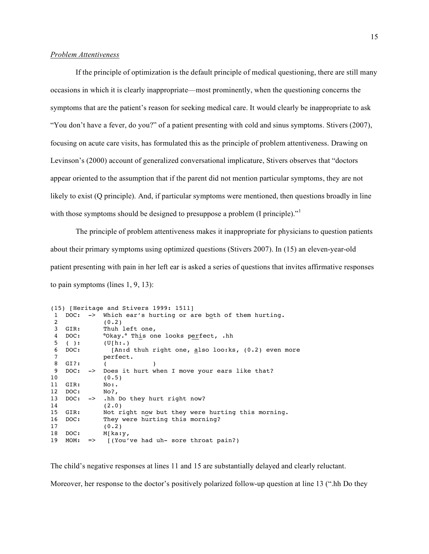### *Problem Attentiveness*

If the principle of optimization is the default principle of medical questioning, there are still many occasions in which it is clearly inappropriate—most prominently, when the questioning concerns the symptoms that are the patient's reason for seeking medical care. It would clearly be inappropriate to ask "You don't have a fever, do you?" of a patient presenting with cold and sinus symptoms. Stivers (2007), focusing on acute care visits, has formulated this as the principle of problem attentiveness. Drawing on Levinson's (2000) account of generalized conversational implicature, Stivers observes that "doctors appear oriented to the assumption that if the parent did not mention particular symptoms, they are not likely to exist (Q principle). And, if particular symptoms were mentioned, then questions broadly in line with those symptoms should be designed to presuppose a problem (I principle).<sup>"1</sup>

The principle of problem attentiveness makes it inappropriate for physicians to question patients about their primary symptoms using optimized questions (Stivers 2007). In (15) an eleven-year-old patient presenting with pain in her left ear is asked a series of questions that invites affirmative responses to pain symptoms (lines 1, 9, 13):

```
(15) [Heritage and Stivers 1999: 1511]
 1 DOC: -> Which ear's hurting or are both of them hurting.
 2 (0.2)
 3 GIR: Thuh left one,
4 DOC: O(\text{day.}^{\circ} \text{This one looks perfect, } \text{.} \text{hh}<br>5 (): (U[\text{h:}])5 ( ): (U[h:.)<br>6 DOC: [An:d
6 DOC: [An:d thuh right one, also loo:ks, (0.2) even more
              perfect.
 8 GI?: ( )
9 DOC: -> Does it hurt when I move your ears like that?
10 (0.5)
11 GIR: No:.
12 DOC: No?,<br>13 DOC: -> .hh
         -> .hh Do they hurt right now?
14 (2.0)
15 GIR: Not right now but they were hurting this morning.
16 DOC: They were hurting this morning?
17 (0.2)
18 DOC: M[ka:y,
19 MOM: => [(You've had uh- sore throat pain?)
```
The child's negative responses at lines 11 and 15 are substantially delayed and clearly reluctant.

Moreover, her response to the doctor's positively polarized follow-up question at line 13 (".hh Do they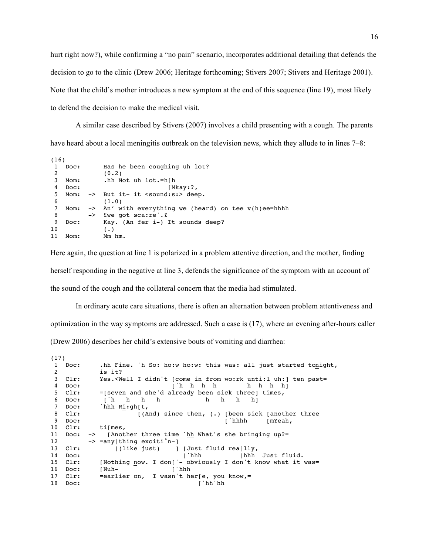hurt right now?), while confirming a "no pain" scenario, incorporates additional detailing that defends the decision to go to the clinic (Drew 2006; Heritage forthcoming; Stivers 2007; Stivers and Heritage 2001). Note that the child's mother introduces a new symptom at the end of this sequence (line 19), most likely to defend the decision to make the medical visit.

A similar case described by Stivers (2007) involves a child presenting with a cough. The parents have heard about a local meningitis outbreak on the television news, which they allude to in lines 7–8:

```
(16)
1 Doc: Has he been coughing uh lot?<br>2 (0.2)
              (0.2) 3 Mom: .hh Not uh lot.=h[h
  4 Doc: [Mkay:?,
 5 Mom: -> But it- it <sound:s:> deep.
  6 (1.0)
7 Mom: \rightarrow An' with everything we (heard) on tee v(h)ee=hhhh <br>8 \rightarrow £we got sca:re'.£
          -> Ewe got sca:re'.£
9 Doc: Kay. (An fer i-) It sounds deep?<br>10 (.)
              (.)
11 Mom: Mm hm.
```
Here again, the question at line 1 is polarized in a problem attentive direction, and the mother, finding herself responding in the negative at line 3, defends the significance of the symptom with an account of the sound of the cough and the collateral concern that the media had stimulated.

In ordinary acute care situations, there is often an alternation between problem attentiveness and optimization in the way symptoms are addressed. Such a case is (17), where an evening after-hours caller (Drew 2006) describes her child's extensive bouts of vomiting and diarrhea:

```
(17) 
1 Doc: .hh Fine. `h So: ho:w ho:w: this was: all just started tonight,
 2 is it?
 3 Clr: Yes.<Well I didn't [come in from wo:rk unti:l uh:] ten past=
4 Doc: [ `h h h h h h h h h j Clr: =[seven and she'd already been sick three] times,
           =[seven and she'd already been sick three] times,
 6 Doc: [˙h h h h h h h h]
7 Doc: 
thhh Ri:gh[t,
8 Clr: [(And) since then, (.) [been sick [another three
 9 Doc: [˙hhhh [mYeah,
10 Clr: ti[mes,<br>11 Doc: -> [Anot
            [Another three time `hh What's she bringing up?=
12 \rightarrow =any[thing excitin-1]
13 Clr: [(like just) ] [Just <u>fl</u>uid rea[lly,<br>14 Doc: [\hhh ]
14 Doc: [`hhh Just fluid.
15 Clr: [Nothing now. I don['- obviously I don't know what it was=
16 Doc: [Nuh- [˙hhh<br>17 Clr: =earlier on, I wasn't he
           =earlier on, I wasn't her[e, you know,=
18 Doc: [`hh`hh
```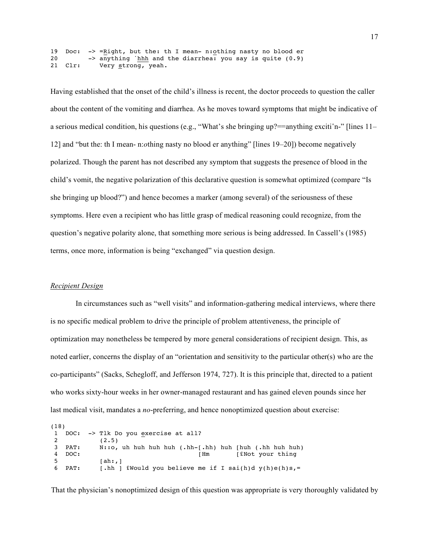19 Doc: -> =Right, but the: th I mean- n:othing nasty no blood er 20 -> anything  $\frac{h h h}{21}$  and the diarrhea: you say is quite (0.9)<br>21 Clr: Very strong, yeah. Very strong, yeah.

Having established that the onset of the child's illness is recent, the doctor proceeds to question the caller about the content of the vomiting and diarrhea. As he moves toward symptoms that might be indicative of a serious medical condition, his questions (e.g., "What's she bringing up?==anything exciti°n-" [lines 11– 12] and "but the: th I mean- n:*o*thing nasty no blood er anything" [lines 19–20]) become negatively polarized. Though the parent has not described any symptom that suggests the presence of blood in the child's vomit, the negative polarization of this declarative question is somewhat optimized (compare "Is she bringing up blood?") and hence becomes a marker (among several) of the seriousness of these symptoms. Here even a recipient who has little grasp of medical reasoning could recognize, from the question's negative polarity alone, that something more serious is being addressed. In Cassell's (1985) terms, once more, information is being "exchanged" via question design.

## *Recipient Design*

In circumstances such as "well visits" and information-gathering medical interviews, where there is no specific medical problem to drive the principle of problem attentiveness, the principle of optimization may nonetheless be tempered by more general considerations of recipient design. This, as noted earlier, concerns the display of an "orientation and sensitivity to the particular other(s) who are the co-participants" (Sacks, Schegloff, and Jefferson 1974, 727). It is this principle that, directed to a patient who works sixty-hour weeks in her owner-managed restaurant and has gained eleven pounds since her last medical visit, mandates a *no*-preferring, and hence nonoptimized question about exercise:

```
(18)
 1 DOC: -> Tlk Do you exercise at all?
 2 (2.5)
3 PAT: N::o, uh huh huh huh (.hh-[.hh) huh [huh (.hh huh huh)<br>4 DOC: [Hm [fNot your thing
                                                  [£Not your thing
 5 [ah:,]
6 PAT: [.hh ] £Would you believe me if I sai(h)d y(h)e(h)s,=
```
That the physician's nonoptimized design of this question was appropriate is very thoroughly validated by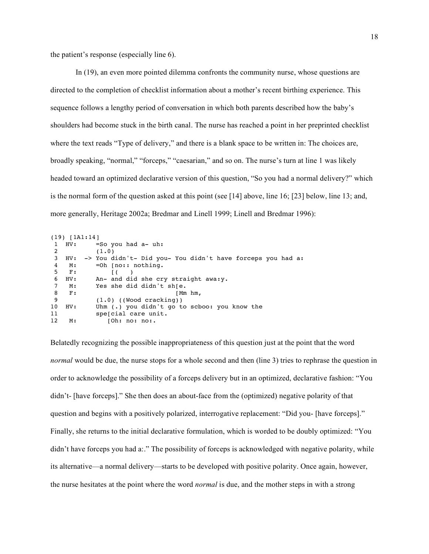the patient's response (especially line 6).

In (19), an even more pointed dilemma confronts the community nurse, whose questions are directed to the completion of checklist information about a mother's recent birthing experience. This sequence follows a lengthy period of conversation in which both parents described how the baby's shoulders had become stuck in the birth canal. The nurse has reached a point in her preprinted checklist where the text reads "Type of delivery," and there is a blank space to be written in: The choices are, broadly speaking, "normal," "forceps," "caesarian," and so on. The nurse's turn at line 1 was likely headed toward an optimized declarative version of this question, "So you had a normal delivery?" which is the normal form of the question asked at this point (see [14] above, line 16; [23] below, line 13; and, more generally, Heritage 2002a; Bredmar and Linell 1999; Linell and Bredmar 1996):

```
(19) [1A1:14]
 1 HV: =So you had a- uh: 
  2 (1.0) 
  3 HV: -> You didn't- Did you- You didn't have forceps you had a:
 4 M: =Oh [no:: nothing.<br>5 F: [()\lceil (
 6 HV: An- and did she cry straight awa:y.
  7 M: Yes she did didn't sh[e.
8 F: [Mm hm,
9 (1.0) ((Wood cracking))<br>10 HV: Uhm (.) you didn't go to
           Uhm (.) you didn't go to scboo: you know the
11 spe[cial care unit.
12 M: [Oh: no: no:.
```
Belatedly recognizing the possible inappropriateness of this question just at the point that the word *normal* would be due, the nurse stops for a whole second and then (line 3) tries to rephrase the question in order to acknowledge the possibility of a forceps delivery but in an optimized, declarative fashion: "You didn't- [have forceps]." She then does an about-face from the (optimized) negative polarity of that question and begins with a positively polarized, interrogative replacement: "Did you- [have forceps]." Finally, she returns to the initial declarative formulation, which is worded to be doubly optimized: "You didn't have forceps you had a:." The possibility of forceps is acknowledged with negative polarity, while its alternative—a normal delivery—starts to be developed with positive polarity. Once again, however, the nurse hesitates at the point where the word *normal* is due, and the mother steps in with a strong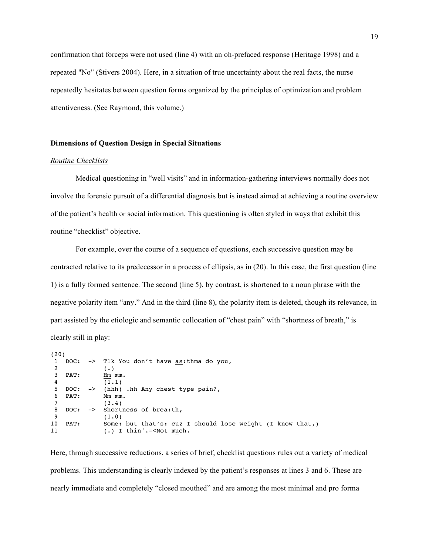confirmation that forceps were not used (line 4) with an oh-prefaced response (Heritage 1998) and a repeated "No" (Stivers 2004). Here, in a situation of true uncertainty about the real facts, the nurse repeatedly hesitates between question forms organized by the principles of optimization and problem attentiveness. (See Raymond, this volume.)

# **Dimensions of Question Design in Special Situations**

### *Routine Checklists*

Medical questioning in "well visits" and in information-gathering interviews normally does not involve the forensic pursuit of a differential diagnosis but is instead aimed at achieving a routine overview of the patient's health or social information. This questioning is often styled in ways that exhibit this routine "checklist" objective.

For example, over the course of a sequence of questions, each successive question may be contracted relative to its predecessor in a process of ellipsis, as in (20). In this case, the first question (line 1) is a fully formed sentence. The second (line 5), by contrast, is shortened to a noun phrase with the negative polarity item "any." And in the third (line 8), the polarity item is deleted, though its relevance, in part assisted by the etiologic and semantic collocation of "chest pain" with "shortness of breath," is clearly still in play:

```
(20)<br>1 DOC:
         -> Tlk You don't have as: thma do you,
  2 (.)
 3 PAT: Hm mm.
4 (1.1)<br>5 DOC: \rightarrow (hhh)
             (hhh) .hh Any chest type pain?, Mm mm.
 6 PAT:
  7 (3.4)
8 DOC: -> Shortness of brea:th,
 9 (1.0)
10 PAT: Some: but that's: cuz I should lose weight (I know that,)
11 (.) I thin'.=<Not much.
```
Here, through successive reductions, a series of brief, checklist questions rules out a variety of medical problems. This understanding is clearly indexed by the patient's responses at lines 3 and 6. These are nearly immediate and completely "closed mouthed" and are among the most minimal and pro forma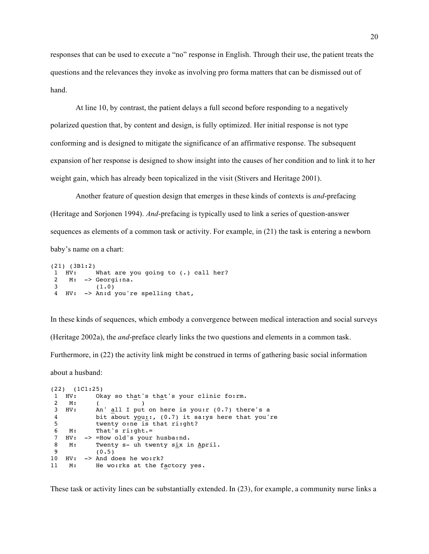responses that can be used to execute a "no" response in English. Through their use, the patient treats the questions and the relevances they invoke as involving pro forma matters that can be dismissed out of hand.

At line 10, by contrast, the patient delays a full second before responding to a negatively polarized question that, by content and design, is fully optimized. Her initial response is not type conforming and is designed to mitigate the significance of an affirmative response. The subsequent expansion of her response is designed to show insight into the causes of her condition and to link it to her weight gain, which has already been topicalized in the visit (Stivers and Heritage 2001).

Another feature of question design that emerges in these kinds of contexts is *and*-prefacing (Heritage and Sorjonen 1994). *And*-prefacing is typically used to link a series of question-answer sequences as elements of a common task or activity. For example, in (21) the task is entering a newborn baby's name on a chart:

```
(21) (3B1:2)
 1 HV: What are you going to (.) call her?
 2 M: -> Georgi:na.
 3 (1.0)
 4 HV: -> An:d you're spelling that,
```
In these kinds of sequences, which embody a convergence between medical interaction and social surveys (Heritage 2002a), the *and*-preface clearly links the two questions and elements in a common task.

Furthermore, in (22) the activity link might be construed in terms of gathering basic social information

about a husband:

```
(22) (1C1:25)
1 HV: Okay so that's that's your clinic fo: rm.<br>2 M: ()
2 M: ( )
 3 HV: An' all I put on here is you:r (0.7) there's a 
 4 bit about you::, (0.7) it sa:ys here that you're
 5 twenty o:ne is that ri:ght?
 6 M: That's ri:ght.=
 7 HV: -> =How old's your husba:nd.
 8 M: Twenty s- uh twenty six in April.
 9 (0.5)
10 HV: -> And does he wo:rk? 
11 M: He wo:rks at the factory yes.
```
These task or activity lines can be substantially extended. In (23), for example, a community nurse links a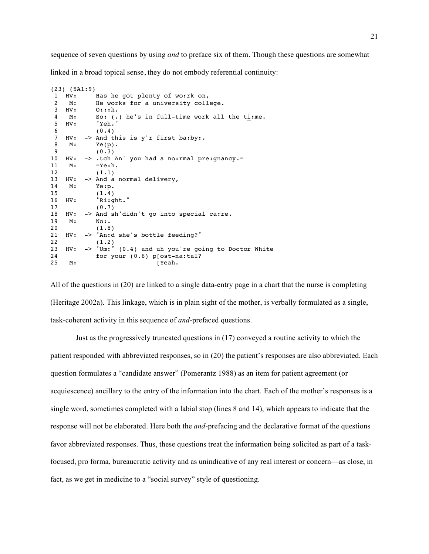sequence of seven questions by using *and* to preface six of them. Though these questions are somewhat

linked in a broad topical sense, they do not embody referential continuity:

```
(23) (5A1:9)
          Has he got plenty of wo:rk on,
  2 M: He works for a university college.
 3 HV: O:::h.
 4 M: So: (.) he's in full-time work all the t_i:me.
 5 HV: °Yeh.
  6 (0.4)
7 HV: \rightarrow And this is y'r first ba:by:.<br>8 M: Ye(D).
   M: Ye(p). 9 (0.3)
10 HV: -> .tch An' you had a no:rmal pre:gnancy.=
11 M: =Ye:h.
12 (1.1)
13 HV: -> And a normal delivery,
14 M: Ye:p.
15 (1.4)<br>16 HV: {}^{\circ}Ri: a
           \degreeRi:ght.\degree17 (0.7)
18 HV: -> And sh'didn't go into special ca:re.
19 M: No:.
20 (1.8)
21 HV: -> ˚An:d she's bottle feeding?˚
22 (1.2)
23 HV: -> ˚Um:˚ (0.4) and uh you're going to Doctor White 
24 for your (0.6) p[ost-na:tal?
25 M: [Yeah.
```
All of the questions in (20) are linked to a single data-entry page in a chart that the nurse is completing (Heritage 2002a). This linkage, which is in plain sight of the mother, is verbally formulated as a single, task-coherent activity in this sequence of *and*-prefaced questions.

Just as the progressively truncated questions in (17) conveyed a routine activity to which the patient responded with abbreviated responses, so in (20) the patient's responses are also abbreviated. Each question formulates a "candidate answer" (Pomerantz 1988) as an item for patient agreement (or acquiescence) ancillary to the entry of the information into the chart. Each of the mother's responses is a single word, sometimes completed with a labial stop (lines 8 and 14), which appears to indicate that the response will not be elaborated. Here both the *and*-prefacing and the declarative format of the questions favor abbreviated responses. Thus, these questions treat the information being solicited as part of a taskfocused, pro forma, bureaucratic activity and as unindicative of any real interest or concern—as close, in fact, as we get in medicine to a "social survey" style of questioning.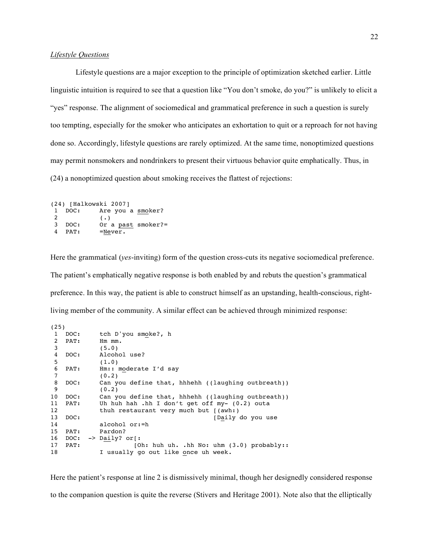### *Lifestyle Questions*

Lifestyle questions are a major exception to the principle of optimization sketched earlier. Little linguistic intuition is required to see that a question like "You don't smoke, do you?" is unlikely to elicit a "yes" response. The alignment of sociomedical and grammatical preference in such a question is surely too tempting, especially for the smoker who anticipates an exhortation to quit or a reproach for not having done so. Accordingly, lifestyle questions are rarely optimized. At the same time, nonoptimized questions may permit nonsmokers and nondrinkers to present their virtuous behavior quite emphatically. Thus, in (24) a nonoptimized question about smoking receives the flattest of rejections:

```
(24) [Halkowski 2007]
                     Are you a smoker?
 \begin{matrix} 2 & & (\cdot) \\ 3 & \text{DOC} \end{matrix}3 DOC: Or a <u>past</u> smoker?=<br>4 PAT: =Never.
                     = Never.
```
Here the grammatical (*yes*-inviting) form of the question cross-cuts its negative sociomedical preference. The patient's emphatically negative response is both enabled by and rebuts the question's grammatical preference. In this way, the patient is able to construct himself as an upstanding, health-conscious, rightliving member of the community. A similar effect can be achieved through minimized response:

```
(25)<br>1 DOC:tch D'you smoke?, h
 2 PAT: Hm mm.
 3 (5.0)
  4 DOC: Alcohol use?
 5(1.0) 6 PAT: Hm:: moderate I'd say
 7 (0.2)
8 DOC: Can you define that, hhhehh ((laughing outbreath))<br>9 (0.2)(0.2)10 DOC: Can you define that, hhhehh ((laughing outbreath))
11 PAT: Uh huh hah .hh I don't get off my- (0.2) outa
12 thuh restaurant very much but [(awh: )<br>13 DOC: [Daily]
                                         [Daily do you use
14 alcohol or:=h<br>15 PAT: Pardon?
15 PAT:<br>16 DOC:
         \rightarrow Daily? or[:
17 PAT: [Oh: huh uh. .hh No: uhm (3.0) probably::
18 I usually go out like once uh week.
```
Here the patient's response at line 2 is dismissively minimal, though her designedly considered response to the companion question is quite the reverse (Stivers and Heritage 2001). Note also that the elliptically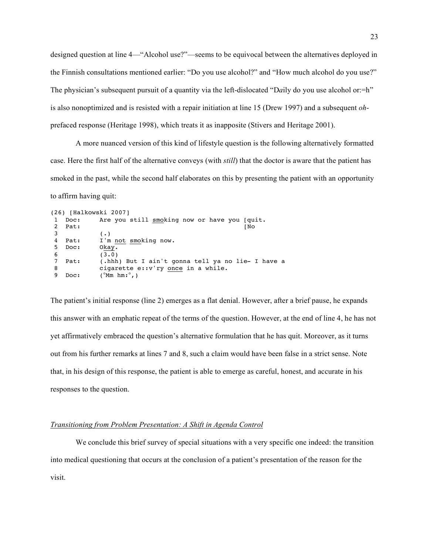designed question at line 4—"Alcohol use?"—seems to be equivocal between the alternatives deployed in the Finnish consultations mentioned earlier: "Do you use alcohol?" and "How much alcohol do you use?" The physician's subsequent pursuit of a quantity via the left-dislocated "Daily do you use alcohol or: =h" is also nonoptimized and is resisted with a repair initiation at line 15 (Drew 1997) and a subsequent *oh*prefaced response (Heritage 1998), which treats it as inapposite (Stivers and Heritage 2001).

A more nuanced version of this kind of lifestyle question is the following alternatively formatted case. Here the first half of the alternative conveys (with *still*) that the doctor is aware that the patient has smoked in the past, while the second half elaborates on this by presenting the patient with an opportunity to affirm having quit:

```
(26) [Halkowski 2007]
 1 Doc: Are you still smoking now or have you [quit.
2 Pat: [No
3 \qquad \qquad (.) 4 Pat: I'm not smoking now.
 5 Doc: Okay.
6 (3.0)<br>7 Pat: (\text{.hhh})(.hhh) But I ain't gonna tell ya no lie- I have a
8 cigarette e:: v'ry <u>once</u> in a while.<br>9 Doc: (^{\circ}Mm hm:^{\circ}.)
             (^\circMm hm:^\circ,)
```
The patient's initial response (line 2) emerges as a flat denial. However, after a brief pause, he expands this answer with an emphatic repeat of the terms of the question. However, at the end of line 4, he has not yet affirmatively embraced the question's alternative formulation that he has quit. Moreover, as it turns out from his further remarks at lines 7 and 8, such a claim would have been false in a strict sense. Note that, in his design of this response, the patient is able to emerge as careful, honest, and accurate in his responses to the question.

## *Transitioning from Problem Presentation: A Shift in Agenda Control*

We conclude this brief survey of special situations with a very specific one indeed: the transition into medical questioning that occurs at the conclusion of a patient's presentation of the reason for the visit.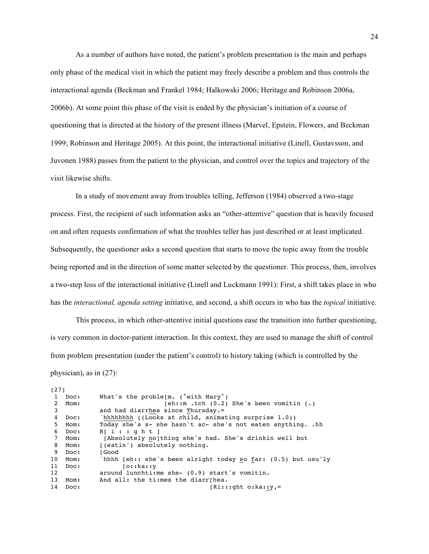As a number of authors have noted, the patient's problem presentation is the main and perhaps only phase of the medical visit in which the patient may freely describe a problem and thus controls the interactional agenda (Beckman and Frankel 1984; Halkowski 2006; Heritage and Robinson 2006a, 2006b). At some point this phase of the visit is ended by the physician's initiation of a course of questioning that is directed at the history of the present illness (Marvel, Epstein, Flowers, and Beckman 1999; Robinson and Heritage 2005). At this point, the interactional initiative (Linell, Gustavsson, and Juvonen 1988) passes from the patient to the physician, and control over the topics and trajectory of the visit likewise shifts.

In a study of movement away from troubles telling, Jefferson (1984) observed a two-stage process. First, the recipient of such information asks an "other-attentive" question that is heavily focused on and often requests confirmation of what the troubles teller has just described or at least implicated. Subsequently, the questioner asks a second question that starts to move the topic away from the trouble being reported and in the direction of some matter selected by the questioner. This process, then, involves a two-step loss of the interactional initiative (Linell and Luckmann 1991): First, a shift takes place in who has the *interactional, agenda setting* initiative, and second, a shift occurs in who has the *topical* initiative.

This process, in which other-attentive initial questions ease the transition into further questioning, is very common in doctor-patient interaction. In this context, they are used to manage the shift of control from problem presentation (under the patient's control) to history taking (which is controlled by the physician), as in (27):

| (27)              |         |                                                                 |
|-------------------|---------|-----------------------------------------------------------------|
|                   | 1 Doc:  | What's the proble $[m. (°with Mary°)$                           |
|                   | 2 Mom:  | $[eh::m .tch (0.2) She's been vomitin (.)$                      |
| 3                 |         | and had diarrhea since Thursday.=                               |
| 4                 | Doc:    | $^{\circ}$ hhhhhhhh ((Looks at child, animating surprise 1.0))  |
|                   | 5 Mom:  | Today she's s- she hasn't ac- she's not eaten anything. .hh     |
|                   | 6 Doc:  | R[i::q h t]                                                     |
|                   | 7 Mom:  | [Absolutely no]thing she's had. She's drinkin well but          |
|                   | 8 Mom:  | [(eatin') absolutely nothing.                                   |
|                   | 9 Doc:  | [ Good                                                          |
|                   | 10 Mom: | Thin $[eh: : she's been alright today so far: (0.5) but usu'ly$ |
|                   | 11 Doc: | $\lceil o: :$ ka:: $\mathsf{y}$                                 |
| $12 \overline{ }$ |         | around lunchti: me she- (0.9) start's vomitin.                  |
|                   | 13 Mom: | And all: the ti:mes the diarr [hea.                             |
|                   | 14 Doc: | $IRi::ight o:ka::y,=$                                           |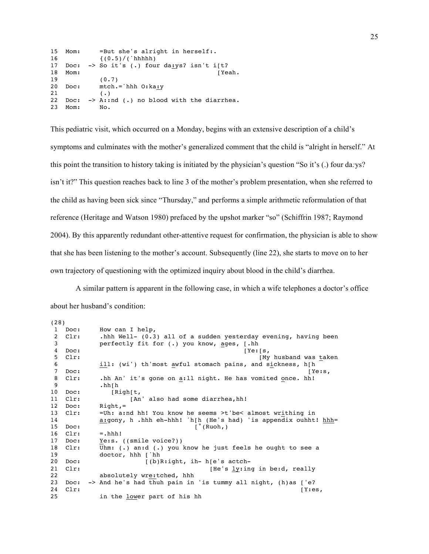| Mom: | $=$ But she's alright in herself:.<br>(0.5)/(thh) |
|------|---------------------------------------------------|
| Doc: | -> So it's (.) four da <u>:</u> ys? isn't i[t?    |
| Mom: | IYeah.                                            |
|      | (0.7)                                             |
| Doc: | $m \text{tch.} = hhh$ O: ka: y                    |
|      | $(\cdot)$                                         |
| Doc: | -> A::nd (.) no blood with the diarrhea.          |
| Mom: | No.                                               |
|      |                                                   |

This pediatric visit, which occurred on a Monday, begins with an extensive description of a child's symptoms and culminates with the mother's generalized comment that the child is "alright in herself." At this point the transition to history taking is initiated by the physician's question "So it's (.) four da*:*ys? isn't it?" This question reaches back to line 3 of the mother's problem presentation, when she referred to the child as having been sick since "Thursday," and performs a simple arithmetic reformulation of that reference (Heritage and Watson 1980) prefaced by the upshot marker "so" (Schiffrin 1987; Raymond 2004). By this apparently redundant other-attentive request for confirmation, the physician is able to show that she has been listening to the mother's account. Subsequently (line 22), she starts to move on to her own trajectory of questioning with the optimized inquiry about blood in the child's diarrhea.

A similar pattern is apparent in the following case, in which a wife telephones a doctor's office about her husband's condition:

| (28) |         |                                                                 |
|------|---------|-----------------------------------------------------------------|
| 1    | Doc:    | How can I help,                                                 |
| 2    | Clr:    | .hhh Well- (0.3) all of a sudden yesterday evening, having been |
| 3    |         | perfectly fit for (.) you know, ages, [.hh                      |
| 4    | Doc:    | [Ye:fs]                                                         |
| 5    | Clr:    | [My husband was taken                                           |
| 6    |         | ill: (wi') th'most awful stomach pains, and sickness, h[h       |
| 7    | Doc:    | [Ye:s,                                                          |
| 8    | C1r:    | .hh An' it's gone on a: ll night. He has vomited once. hh!      |
| 9    |         | $.$ hh[h                                                        |
| 10   | Doc:    | [Right[t,                                                       |
| 11   | Clr:    | [An' also had some diarrhea, hh!                                |
| 12   | Doc:    | $Right, =$                                                      |
| 13   | Clr:    | =Uh: a:nd hh! You know he seems >t'be< almost writhing in       |
| 14   |         | a:gony, h .hhh eh-hhh! h[h (He's had) 'is appendix ouhht! hhh=  |
| 15   | Doc:    | $\int^{\infty}$ (Ruoh, )                                        |
|      | 16 Clr: | $=$ .hhh!                                                       |
| 17   | Doc:    | Ye:s. $((smile voice?)')$                                       |
| 18   | Clr:    | Uhm: $(.)$ an:d $(.)$ you know he just feels he ought to see a  |
| 19   |         | doctor, hhh $\int$ hh                                           |
| 20   | Doc:    | $(b)$ R:ight, ih- h $[e]$ 's actch-                             |
| 21   | Clr:    | [He's ly:ing in be:d, really                                    |
| 22   |         | absolutely wre: tched, hhh                                      |
| 23   | Doc:    | -> And he's had thuh pain in 'is tummy all night, (h) as ['e?   |
| 24   | C1r:    | IY:es,                                                          |
| 25   |         | in the lower part of his hh                                     |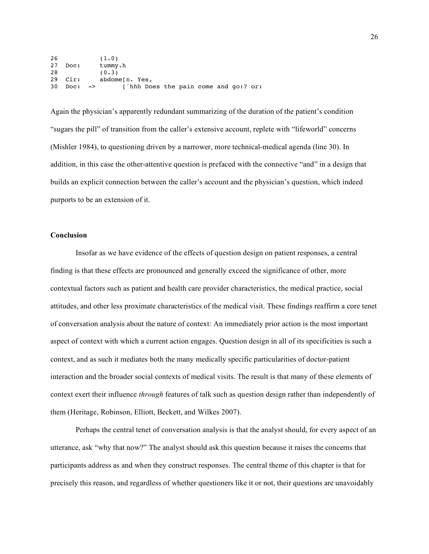| 26 |              | (1.0)          |  |                                       |  |  |
|----|--------------|----------------|--|---------------------------------------|--|--|
| 27 | Doc:         | tummy.h        |  |                                       |  |  |
| 28 |              | (0.3)          |  |                                       |  |  |
| 29 | Clr:         | abdome[n. Yes, |  |                                       |  |  |
| 30 | $Doc: - \gt$ |                |  | [ hhh Does the pain come and go:? or: |  |  |

Again the physician's apparently redundant summarizing of the duration of the patient's condition "sugars the pill" of transition from the caller's extensive account, replete with "lifeworld" concerns (Mishler 1984), to questioning driven by a narrower, more technical-medical agenda (line 30). In addition, in this case the other-attentive question is prefaced with the connective "and" in a design that builds an explicit connection between the caller's account and the physician's question, which indeed purports to be an extension of it.

# **Conclusion**

Insofar as we have evidence of the effects of question design on patient responses, a central finding is that these effects are pronounced and generally exceed the significance of other, more contextual factors such as patient and health care provider characteristics, the medical practice, social attitudes, and other less proximate characteristics of the medical visit. These findings reaffirm a core tenet of conversation analysis about the nature of context: An immediately prior action is the most important aspect of context with which a current action engages. Question design in all of its specificities is such a context, and as such it mediates both the many medically specific particularities of doctor-patient interaction and the broader social contexts of medical visits. The result is that many of these elements of context exert their influence *through* features of talk such as question design rather than independently of them (Heritage, Robinson, Elliott, Beckett, and Wilkes 2007).

Perhaps the central tenet of conversation analysis is that the analyst should, for every aspect of an utterance, ask "why that now?" The analyst should ask this question because it raises the concerns that participants address as and when they construct responses. The central theme of this chapter is that for precisely this reason, and regardless of whether questioners like it or not, their questions are unavoidably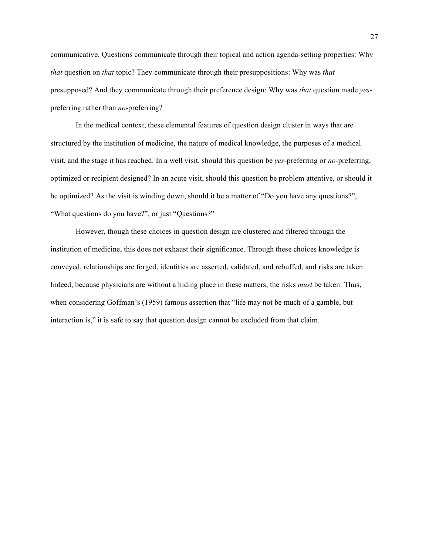communicative. Questions communicate through their topical and action agenda-setting properties: Why *that* question on *that* topic? They communicate through their presuppositions: Why was *that* presupposed? And they communicate through their preference design: Why was *that* question made *yes*preferring rather than *no*-preferring?

In the medical context, these elemental features of question design cluster in ways that are structured by the institution of medicine, the nature of medical knowledge, the purposes of a medical visit, and the stage it has reached. In a well visit, should this question be *yes*-preferring or *no*-preferring, optimized or recipient designed? In an acute visit, should this question be problem attentive, or should it be optimized? As the visit is winding down, should it be a matter of "Do you have any questions?", "What questions do you have?", or just "Questions?"

However, though these choices in question design are clustered and filtered through the institution of medicine, this does not exhaust their significance. Through these choices knowledge is conveyed, relationships are forged, identities are asserted, validated, and rebuffed, and risks are taken. Indeed, because physicians are without a hiding place in these matters, the risks *must* be taken. Thus, when considering Goffman's (1959) famous assertion that "life may not be much of a gamble, but interaction is," it is safe to say that question design cannot be excluded from that claim.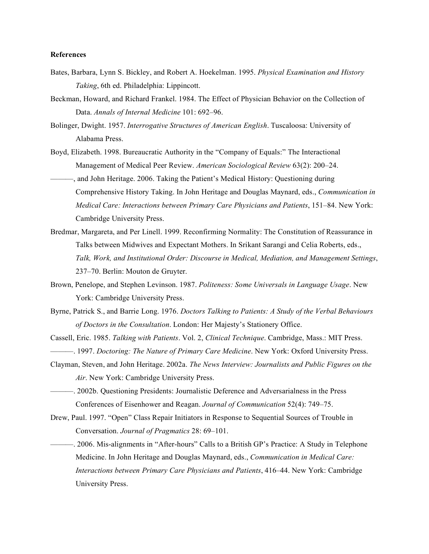## **References**

- Bates, Barbara, Lynn S. Bickley, and Robert A. Hoekelman. 1995. *Physical Examination and History Taking*, 6th ed. Philadelphia: Lippincott.
- Beckman, Howard, and Richard Frankel. 1984. The Effect of Physician Behavior on the Collection of Data. *Annals of Internal Medicine* 101: 692–96.
- Bolinger, Dwight. 1957. *Interrogative Structures of American English*. Tuscaloosa: University of Alabama Press.
- Boyd, Elizabeth. 1998. Bureaucratic Authority in the "Company of Equals:" The Interactional Management of Medical Peer Review. *American Sociological Review* 63(2): 200–24.
- ———, and John Heritage. 2006. Taking the Patient's Medical History: Questioning during Comprehensive History Taking. In John Heritage and Douglas Maynard, eds., *Communication in Medical Care: Interactions between Primary Care Physicians and Patients*, 151–84. New York: Cambridge University Press.
- Bredmar, Margareta, and Per Linell. 1999. Reconfirming Normality: The Constitution of Reassurance in Talks between Midwives and Expectant Mothers. In Srikant Sarangi and Celia Roberts, eds., *Talk, Work, and Institutional Order: Discourse in Medical, Mediation, and Management Settings*, 237–70. Berlin: Mouton de Gruyter.
- Brown, Penelope, and Stephen Levinson. 1987. *Politeness: Some Universals in Language Usage*. New York: Cambridge University Press.
- Byrne, Patrick S., and Barrie Long. 1976. *Doctors Talking to Patients: A Study of the Verbal Behaviours of Doctors in the Consultation*. London: Her Majesty's Stationery Office.
- Cassell, Eric. 1985. *Talking with Patients*. Vol. 2, *Clinical Technique*. Cambridge, Mass.: MIT Press. ———. 1997. *Doctoring: The Nature of Primary Care Medicine*. New York: Oxford University Press.
- Clayman, Steven, and John Heritage. 2002a. *The News Interview: Journalists and Public Figures on the Air*. New York: Cambridge University Press.
- ———. 2002b. Questioning Presidents: Journalistic Deference and Adversarialness in the Press Conferences of Eisenhower and Reagan. *Journal of Communication* 52(4): 749–75.
- Drew, Paul. 1997. "Open" Class Repair Initiators in Response to Sequential Sources of Trouble in Conversation. *Journal of Pragmatics* 28: 69–101.
	- ———. 2006. Mis-alignments in "After-hours" Calls to a British GP's Practice: A Study in Telephone Medicine. In John Heritage and Douglas Maynard, eds., *Communication in Medical Care: Interactions between Primary Care Physicians and Patients*, 416–44. New York: Cambridge University Press.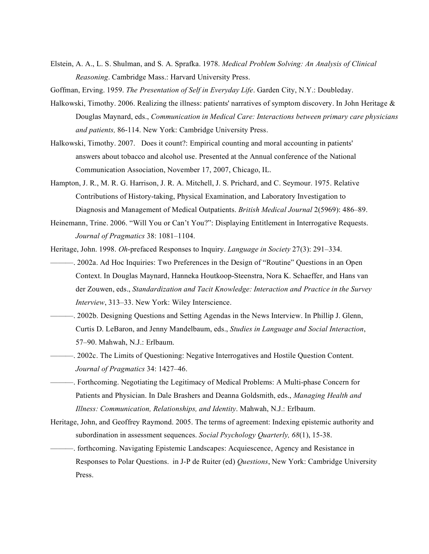Elstein, A. A., L. S. Shulman, and S. A. Sprafka. 1978. *Medical Problem Solving: An Analysis of Clinical Reasoning*. Cambridge Mass.: Harvard University Press.

Goffman, Erving. 1959. *The Presentation of Self in Everyday Life*. Garden City, N.Y.: Doubleday.

- Halkowski, Timothy. 2006. Realizing the illness: patients' narratives of symptom discovery. In John Heritage & Douglas Maynard, eds., *Communication in Medical Care: Interactions between primary care physicians and patients,* 86-114. New York: Cambridge University Press.
- Halkowski, Timothy. 2007. Does it count?: Empirical counting and moral accounting in patients' answers about tobacco and alcohol use. Presented at the Annual conference of the National Communication Association, November 17, 2007, Chicago, IL.
- Hampton, J. R., M. R. G. Harrison, J. R. A. Mitchell, J. S. Prichard, and C. Seymour. 1975. Relative Contributions of History-taking, Physical Examination, and Laboratory Investigation to Diagnosis and Management of Medical Outpatients. *British Medical Journal* 2(5969): 486–89.
- Heinemann, Trine. 2006. "Will You or Can't You?": Displaying Entitlement in Interrogative Requests. *Journal of Pragmatics* 38: 1081–1104.
- Heritage, John. 1998. *Oh*-prefaced Responses to Inquiry. *Language in Society* 27(3): 291–334.
- ———. 2002a. Ad Hoc Inquiries: Two Preferences in the Design of "Routine" Questions in an Open Context. In Douglas Maynard, Hanneka Houtkoop-Steenstra, Nora K. Schaeffer, and Hans van der Zouwen, eds., *Standardization and Tacit Knowledge: Interaction and Practice in the Survey Interview*, 313–33. New York: Wiley Interscience.
- ———. 2002b. Designing Questions and Setting Agendas in the News Interview. In Phillip J. Glenn, Curtis D. LeBaron, and Jenny Mandelbaum, eds., *Studies in Language and Social Interaction*, 57–90. Mahwah, N.J.: Erlbaum.
- ———. 2002c. The Limits of Questioning: Negative Interrogatives and Hostile Question Content. *Journal of Pragmatics* 34: 1427–46.
- ———. Forthcoming. Negotiating the Legitimacy of Medical Problems: A Multi-phase Concern for Patients and Physician. In Dale Brashers and Deanna Goldsmith, eds., *Managing Health and Illness: Communication, Relationships, and Identity*. Mahwah, N.J.: Erlbaum.
- Heritage, John, and Geoffrey Raymond. 2005. The terms of agreement: Indexing epistemic authority and subordination in assessment sequences. *Social Psychology Quarterly, 68*(1), 15-38.
- ———. forthcoming. Navigating Epistemic Landscapes: Acquiescence, Agency and Resistance in Responses to Polar Questions. in J-P de Ruiter (ed) *Questions*, New York: Cambridge University Press.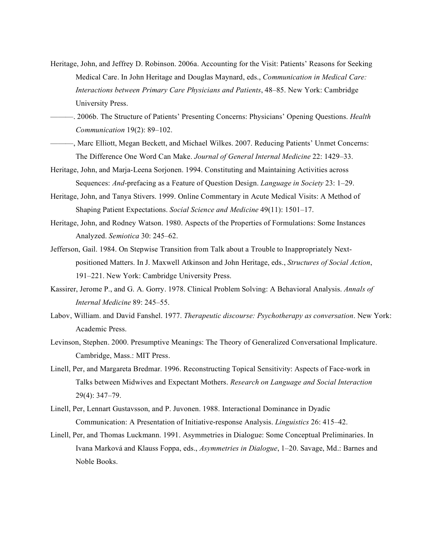- Heritage, John, and Jeffrey D. Robinson. 2006a. Accounting for the Visit: Patients' Reasons for Seeking Medical Care. In John Heritage and Douglas Maynard, eds., *Communication in Medical Care: Interactions between Primary Care Physicians and Patients*, 48–85. New York: Cambridge University Press.
- ———. 2006b. The Structure of Patients' Presenting Concerns: Physicians' Opening Questions. *Health Communication* 19(2): 89–102.
- ———, Marc Elliott, Megan Beckett, and Michael Wilkes. 2007. Reducing Patients' Unmet Concerns: The Difference One Word Can Make. *Journal of General Internal Medicine* 22: 1429–33.
- Heritage, John, and Marja-Leena Sorjonen. 1994. Constituting and Maintaining Activities across Sequences: *And*-prefacing as a Feature of Question Design. *Language in Society* 23: 1–29.
- Heritage, John, and Tanya Stivers. 1999. Online Commentary in Acute Medical Visits: A Method of Shaping Patient Expectations. *Social Science and Medicine* 49(11): 1501–17.
- Heritage, John, and Rodney Watson. 1980. Aspects of the Properties of Formulations: Some Instances Analyzed. *Semiotica* 30: 245–62.
- Jefferson, Gail. 1984. On Stepwise Transition from Talk about a Trouble to Inappropriately Nextpositioned Matters. In J. Maxwell Atkinson and John Heritage, eds., *Structures of Social Action*, 191–221. New York: Cambridge University Press.
- Kassirer, Jerome P., and G. A. Gorry. 1978. Clinical Problem Solving: A Behavioral Analysis. *Annals of Internal Medicine* 89: 245–55.
- Labov, William. and David Fanshel. 1977. *Therapeutic discourse: Psychotherapy as conversation*. New York: Academic Press.
- Levinson, Stephen. 2000. Presumptive Meanings: The Theory of Generalized Conversational Implicature. Cambridge, Mass.: MIT Press.
- Linell, Per, and Margareta Bredmar. 1996. Reconstructing Topical Sensitivity: Aspects of Face-work in Talks between Midwives and Expectant Mothers. *Research on Language and Social Interaction* 29(4): 347–79.
- Linell, Per, Lennart Gustavsson, and P. Juvonen. 1988. Interactional Dominance in Dyadic Communication: A Presentation of Initiative-response Analysis. *Linguistics* 26: 415–42.
- Linell, Per, and Thomas Luckmann. 1991. Asymmetries in Dialogue: Some Conceptual Preliminaries. In Ivana Marková and Klauss Foppa, eds., *Asymmetries in Dialogue*, 1–20. Savage, Md.: Barnes and Noble Books.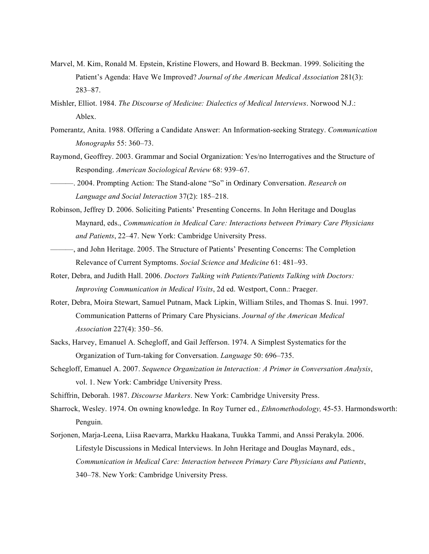- Marvel, M. Kim, Ronald M. Epstein, Kristine Flowers, and Howard B. Beckman. 1999. Soliciting the Patient's Agenda: Have We Improved? *Journal of the American Medical Association* 281(3): 283–87.
- Mishler, Elliot. 1984. *The Discourse of Medicine: Dialectics of Medical Interviews*. Norwood N.J.: Ablex.
- Pomerantz, Anita. 1988. Offering a Candidate Answer: An Information-seeking Strategy. *Communication Monographs* 55: 360–73.
- Raymond, Geoffrey. 2003. Grammar and Social Organization: Yes/no Interrogatives and the Structure of Responding. *American Sociological Review* 68: 939–67.
- ———. 2004. Prompting Action: The Stand-alone "So" in Ordinary Conversation. *Research on Language and Social Interaction* 37(2): 185–218.
- Robinson, Jeffrey D. 2006. Soliciting Patients' Presenting Concerns. In John Heritage and Douglas Maynard, eds., *Communication in Medical Care: Interactions between Primary Care Physicians and Patients*, 22–47. New York: Cambridge University Press.
- ———, and John Heritage. 2005. The Structure of Patients' Presenting Concerns: The Completion Relevance of Current Symptoms. *Social Science and Medicine* 61: 481–93.
- Roter, Debra, and Judith Hall. 2006. *Doctors Talking with Patients/Patients Talking with Doctors: Improving Communication in Medical Visits*, 2d ed. Westport, Conn.: Praeger.
- Roter, Debra, Moira Stewart, Samuel Putnam, Mack Lipkin, William Stiles, and Thomas S. Inui. 1997. Communication Patterns of Primary Care Physicians. *Journal of the American Medical Association* 227(4): 350–56.
- Sacks, Harvey, Emanuel A. Schegloff, and Gail Jefferson. 1974. A Simplest Systematics for the Organization of Turn-taking for Conversation. *Language* 50: 696–735.
- Schegloff, Emanuel A. 2007. *Sequence Organization in Interaction: A Primer in Conversation Analysis*, vol. 1. New York: Cambridge University Press.
- Schiffrin, Deborah. 1987. *Discourse Markers*. New York: Cambridge University Press.
- Sharrock, Wesley. 1974. On owning knowledge. In Roy Turner ed., *Ethnomethodology,* 45-53. Harmondsworth: Penguin.
- Sorjonen, Marja-Leena, Liisa Raevarra, Markku Haakana, Tuukka Tammi, and Anssi Perakyla. 2006. Lifestyle Discussions in Medical Interviews. In John Heritage and Douglas Maynard, eds., *Communication in Medical Care: Interaction between Primary Care Physicians and Patients*, 340–78. New York: Cambridge University Press.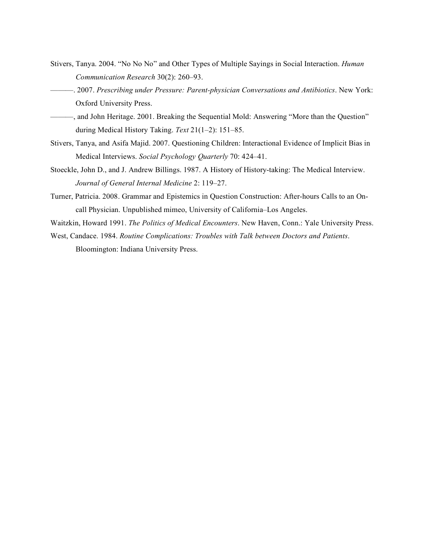- Stivers, Tanya. 2004. "No No No" and Other Types of Multiple Sayings in Social Interaction. *Human Communication Research* 30(2): 260–93.
- ———. 2007. *Prescribing under Pressure: Parent-physician Conversations and Antibiotics*. New York: Oxford University Press.
- ———, and John Heritage. 2001. Breaking the Sequential Mold: Answering "More than the Question" during Medical History Taking. *Text* 21(1–2): 151–85.
- Stivers, Tanya, and Asifa Majid. 2007. Questioning Children: Interactional Evidence of Implicit Bias in Medical Interviews. *Social Psychology Quarterly* 70: 424–41.
- Stoeckle, John D., and J. Andrew Billings. 1987. A History of History-taking: The Medical Interview. *Journal of General Internal Medicine* 2: 119–27.
- Turner, Patricia. 2008. Grammar and Epistemics in Question Construction: After-hours Calls to an Oncall Physician. Unpublished mimeo, University of California–Los Angeles.
- Waitzkin, Howard 1991. *The Politics of Medical Encounters*. New Haven, Conn.: Yale University Press.
- West, Candace. 1984. *Routine Complications: Troubles with Talk between Doctors and Patients*. Bloomington: Indiana University Press.